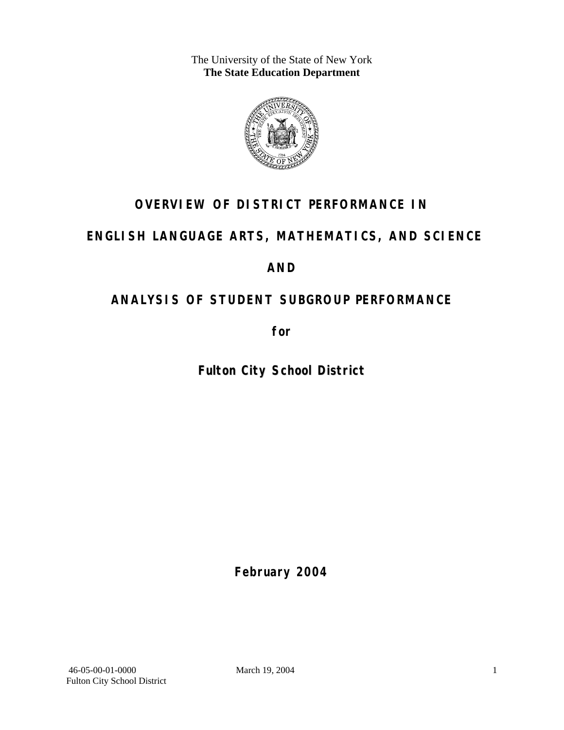The University of the State of New York **The State Education Department** 



# **OVERVIEW OF DISTRICT PERFORMANCE IN**

# **ENGLISH LANGUAGE ARTS, MATHEMATICS, AND SCIENCE**

# **AND**

# **ANALYSIS OF STUDENT SUBGROUP PERFORMANCE**

**for** 

**Fulton City School District**

**February 2004**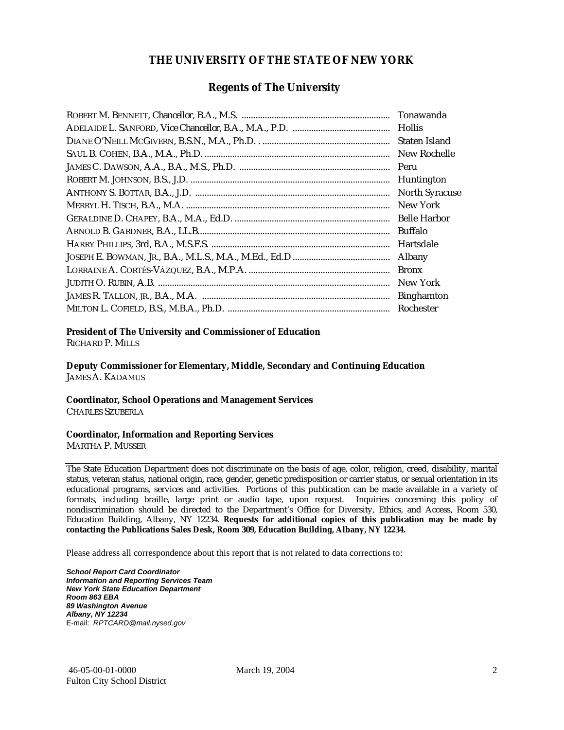#### **THE UNIVERSITY OF THE STATE OF NEW YORK**

#### **Regents of The University**

| Tonawanda             |
|-----------------------|
| <b>Hollis</b>         |
| Staten Island         |
| New Rochelle          |
| Peru                  |
| Huntington            |
| <b>North Syracuse</b> |
| New York              |
| <b>Belle Harbor</b>   |
| Buffalo               |
| Hartsdale             |
| Albany                |
| <b>Bronx</b>          |
| New York              |
| <b>Binghamton</b>     |
| Rochester             |

#### **President of The University and Commissioner of Education**

RICHARD P. MILLS

**Deputy Commissioner for Elementary, Middle, Secondary and Continuing Education**  JAMES A. KADAMUS

#### **Coordinator, School Operations and Management Services**

CHARLES SZUBERLA

#### **Coordinator, Information and Reporting Services**

MARTHA P. MUSSER

The State Education Department does not discriminate on the basis of age, color, religion, creed, disability, marital status, veteran status, national origin, race, gender, genetic predisposition or carrier status, or sexual orientation in its educational programs, services and activities. Portions of this publication can be made available in a variety of formats, including braille, large print or audio tape, upon request. Inquiries concerning this policy of nondiscrimination should be directed to the Department's Office for Diversity, Ethics, and Access, Room 530, Education Building, Albany, NY 12234. **Requests for additional copies of this publication may be made by contacting the Publications Sales Desk, Room 309, Education Building, Albany, NY 12234.** 

Please address all correspondence about this report that is not related to data corrections to:

*School Report Card Coordinator Information and Reporting Services Team New York State Education Department Room 863 EBA 89 Washington Avenue Albany, NY 12234*  E-mail: *RPTCARD@mail.nysed.gov*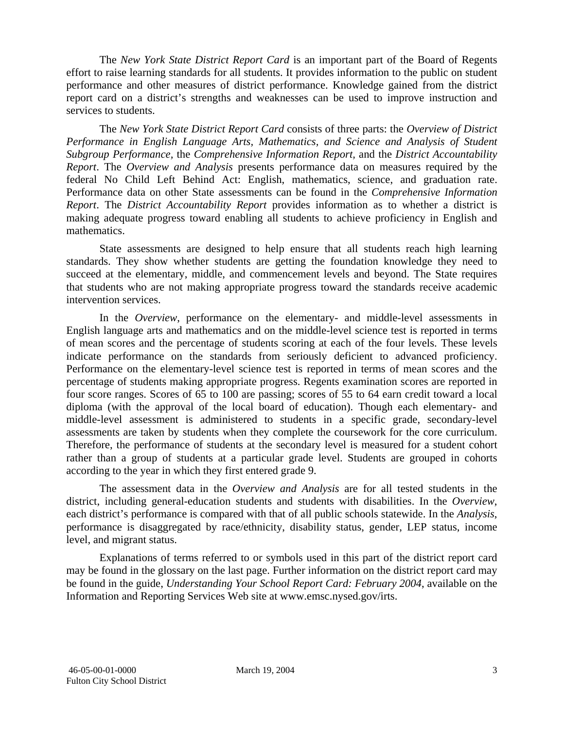The *New York State District Report Card* is an important part of the Board of Regents effort to raise learning standards for all students. It provides information to the public on student performance and other measures of district performance. Knowledge gained from the district report card on a district's strengths and weaknesses can be used to improve instruction and services to students.

The *New York State District Report Card* consists of three parts: the *Overview of District Performance in English Language Arts, Mathematics, and Science and Analysis of Student Subgroup Performance,* the *Comprehensive Information Report,* and the *District Accountability Report*. The *Overview and Analysis* presents performance data on measures required by the federal No Child Left Behind Act: English, mathematics, science, and graduation rate. Performance data on other State assessments can be found in the *Comprehensive Information Report*. The *District Accountability Report* provides information as to whether a district is making adequate progress toward enabling all students to achieve proficiency in English and mathematics.

State assessments are designed to help ensure that all students reach high learning standards. They show whether students are getting the foundation knowledge they need to succeed at the elementary, middle, and commencement levels and beyond. The State requires that students who are not making appropriate progress toward the standards receive academic intervention services.

In the *Overview*, performance on the elementary- and middle-level assessments in English language arts and mathematics and on the middle-level science test is reported in terms of mean scores and the percentage of students scoring at each of the four levels. These levels indicate performance on the standards from seriously deficient to advanced proficiency. Performance on the elementary-level science test is reported in terms of mean scores and the percentage of students making appropriate progress. Regents examination scores are reported in four score ranges. Scores of 65 to 100 are passing; scores of 55 to 64 earn credit toward a local diploma (with the approval of the local board of education). Though each elementary- and middle-level assessment is administered to students in a specific grade, secondary-level assessments are taken by students when they complete the coursework for the core curriculum. Therefore, the performance of students at the secondary level is measured for a student cohort rather than a group of students at a particular grade level. Students are grouped in cohorts according to the year in which they first entered grade 9.

The assessment data in the *Overview and Analysis* are for all tested students in the district, including general-education students and students with disabilities. In the *Overview*, each district's performance is compared with that of all public schools statewide. In the *Analysis*, performance is disaggregated by race/ethnicity, disability status, gender, LEP status, income level, and migrant status.

Explanations of terms referred to or symbols used in this part of the district report card may be found in the glossary on the last page. Further information on the district report card may be found in the guide, *Understanding Your School Report Card: February 2004*, available on the Information and Reporting Services Web site at www.emsc.nysed.gov/irts.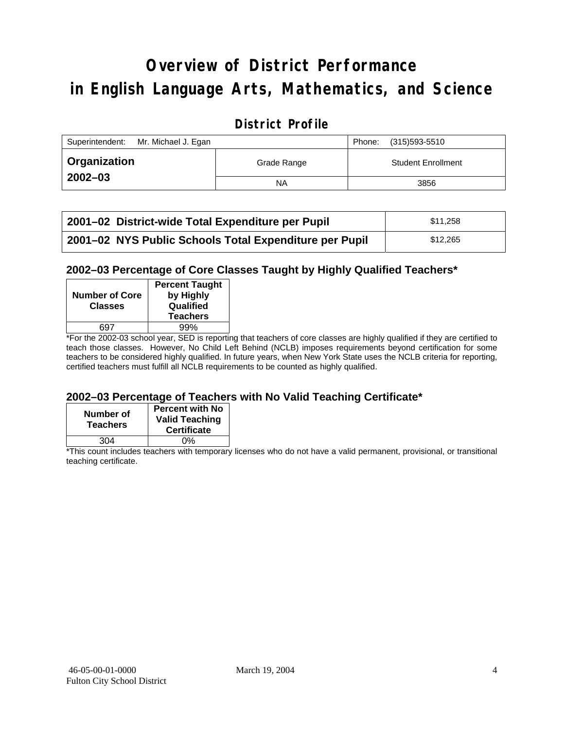# **Overview of District Performance in English Language Arts, Mathematics, and Science**

## **District Profile**

| Superintendent:<br>Mr. Michael J. Egan |             | Phone: | (315)593-5510             |
|----------------------------------------|-------------|--------|---------------------------|
| ∣ Organization                         | Grade Range |        | <b>Student Enrollment</b> |
| $2002 - 03$                            | <b>NA</b>   |        | 3856                      |

| 2001-02 District-wide Total Expenditure per Pupil      | \$11.258 |
|--------------------------------------------------------|----------|
| 2001-02 NYS Public Schools Total Expenditure per Pupil | \$12,265 |

#### **2002–03 Percentage of Core Classes Taught by Highly Qualified Teachers\***

| <b>Number of Core</b><br><b>Classes</b> | <b>Percent Taught</b><br>by Highly<br>Qualified<br><b>Teachers</b> |
|-----------------------------------------|--------------------------------------------------------------------|
| ĥЧ.                                     | 99%                                                                |
| . .<br>- -                              |                                                                    |

\*For the 2002-03 school year, SED is reporting that teachers of core classes are highly qualified if they are certified to teach those classes. However, No Child Left Behind (NCLB) imposes requirements beyond certification for some teachers to be considered highly qualified. In future years, when New York State uses the NCLB criteria for reporting, certified teachers must fulfill all NCLB requirements to be counted as highly qualified.

#### **2002–03 Percentage of Teachers with No Valid Teaching Certificate\***

| Number of<br><b>Teachers</b> | <b>Percent with No</b><br><b>Valid Teaching</b><br><b>Certificate</b> |
|------------------------------|-----------------------------------------------------------------------|
| ิ ่ ใ∩4                      | ሰ%                                                                    |

\*This count includes teachers with temporary licenses who do not have a valid permanent, provisional, or transitional teaching certificate.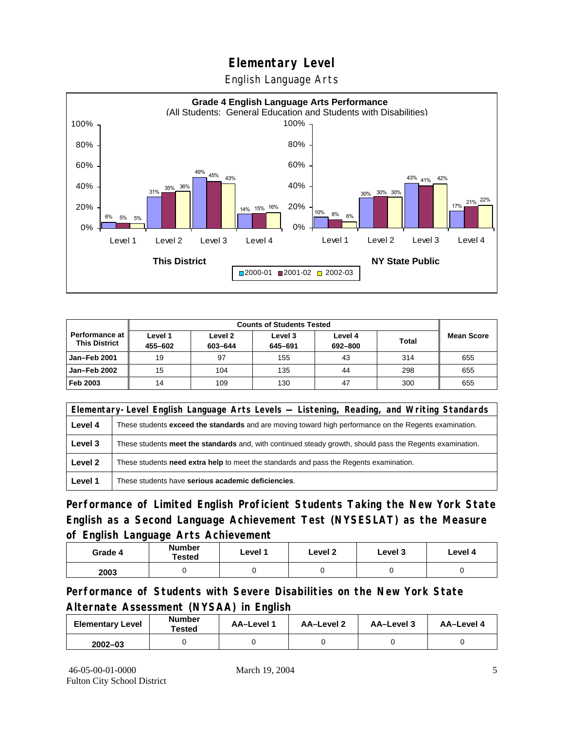English Language Arts



| <b>Counts of Students Tested</b>              |                    |                    |                    |                    |              |                   |
|-----------------------------------------------|--------------------|--------------------|--------------------|--------------------|--------------|-------------------|
| <b>Performance at</b><br><b>This District</b> | Level 1<br>455-602 | Level 2<br>603-644 | Level 3<br>645-691 | Level 4<br>692-800 | <b>Total</b> | <b>Mean Score</b> |
| Jan-Feb 2001                                  | 19                 | 97                 | 155                | 43                 | 314          | 655               |
| Jan-Feb 2002                                  | 15                 | 104                | 135                | 44                 | 298          | 655               |
| Feb 2003                                      | 14                 | 109                | 130                | 47                 | 300          | 655               |

|         | Elementary-Level English Language Arts Levels — Listening, Reading, and Writing Standards                 |  |  |  |  |  |
|---------|-----------------------------------------------------------------------------------------------------------|--|--|--|--|--|
| Level 4 | These students exceed the standards and are moving toward high performance on the Regents examination.    |  |  |  |  |  |
| Level 3 | These students meet the standards and, with continued steady growth, should pass the Regents examination. |  |  |  |  |  |
| Level 2 | These students <b>need extra help</b> to meet the standards and pass the Regents examination.             |  |  |  |  |  |
| Level 1 | These students have serious academic deficiencies.                                                        |  |  |  |  |  |

**Performance of Limited English Proficient Students Taking the New York State English as a Second Language Achievement Test (NYSESLAT) as the Measure of English Language Arts Achievement**

| Grade 4 | <b>Number</b><br>Tested | Level 1 | Level 2 | Level 3 | Level 4 |
|---------|-------------------------|---------|---------|---------|---------|
| 2003    |                         |         |         |         |         |

**Performance of Students with Severe Disabilities on the New York State Alternate Assessment (NYSAA) in English** 

| <b>Elementary Level</b> | <b>Number</b><br>Tested | AA-Level 1 | AA-Level 2 | AA-Level 3 | AA-Level 4 |
|-------------------------|-------------------------|------------|------------|------------|------------|
| $2002 - 03$             |                         |            |            |            |            |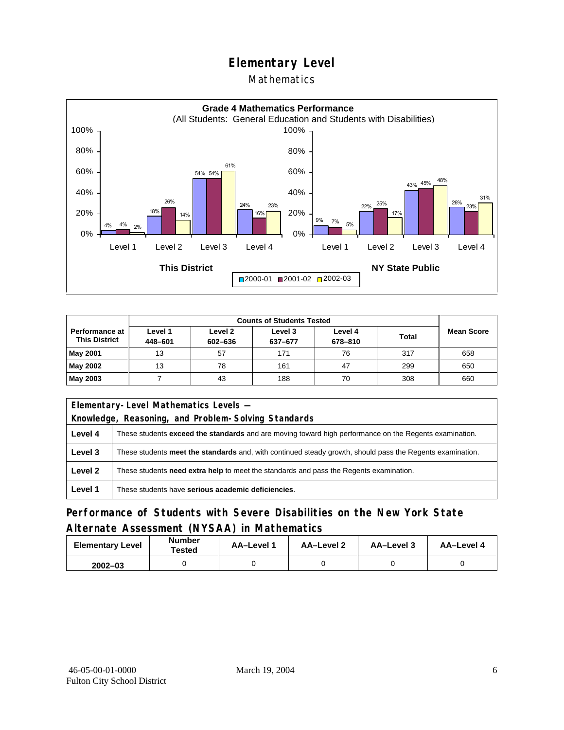#### **Mathematics**



| <b>Counts of Students Tested</b>                |                    |                    |                    |                    |              |                   |
|-------------------------------------------------|--------------------|--------------------|--------------------|--------------------|--------------|-------------------|
| <b>Performance at I</b><br><b>This District</b> | Level 1<br>448-601 | Level 2<br>602-636 | Level 3<br>637-677 | Level 4<br>678-810 | <b>Total</b> | <b>Mean Score</b> |
| May 2001                                        | 13                 | 57                 | 171                | 76                 | 317          | 658               |
| May 2002                                        | 13                 | 78                 | 161                | 47                 | 299          | 650               |
| May 2003                                        |                    | 43                 | 188                | 70                 | 308          | 660               |

|         | Elementary-Level Mathematics Levels -                                                                         |  |  |  |  |
|---------|---------------------------------------------------------------------------------------------------------------|--|--|--|--|
|         | Knowledge, Reasoning, and Problem-Solving Standards                                                           |  |  |  |  |
| Level 4 | These students <b>exceed the standards</b> and are moving toward high performance on the Regents examination. |  |  |  |  |
| Level 3 | These students meet the standards and, with continued steady growth, should pass the Regents examination.     |  |  |  |  |
| Level 2 | These students need extra help to meet the standards and pass the Regents examination.                        |  |  |  |  |
| Level 1 | These students have serious academic deficiencies.                                                            |  |  |  |  |

## **Performance of Students with Severe Disabilities on the New York State Alternate Assessment (NYSAA) in Mathematics**

| <b>Elementary Level</b> | <b>Number</b><br>Tested | AA-Level 1 | AA-Level 2 | AA-Level 3 | AA-Level 4 |
|-------------------------|-------------------------|------------|------------|------------|------------|
| $2002 - 03$             |                         |            |            |            |            |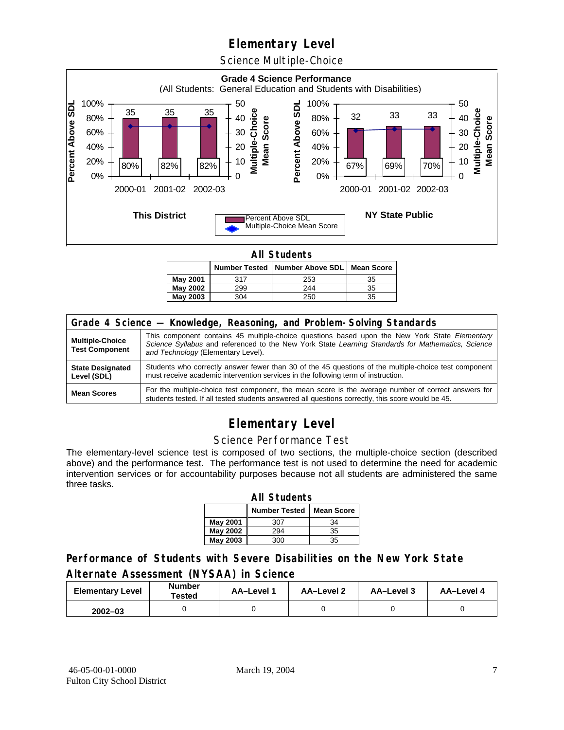Science Multiple-Choice



**All Students** 

|                 |     | <b>Number Tested   Number Above SDL  </b> | <b>Mean Score</b> |
|-----------------|-----|-------------------------------------------|-------------------|
| Mav 2001        | 317 | 253                                       | 35                |
| <b>May 2002</b> | 299 | 244                                       | 35                |
| <b>May 2003</b> | 304 | 250                                       | 35                |

| Grade 4 Science - Knowledge, Reasoning, and Problem-Solving Standards |                                                                                                                                                                                                                                          |  |  |  |  |
|-----------------------------------------------------------------------|------------------------------------------------------------------------------------------------------------------------------------------------------------------------------------------------------------------------------------------|--|--|--|--|
| <b>Multiple-Choice</b><br><b>Test Component</b>                       | This component contains 45 multiple-choice questions based upon the New York State Elementary<br>Science Syllabus and referenced to the New York State Learning Standards for Mathematics, Science<br>and Technology (Elementary Level). |  |  |  |  |
| <b>State Designated</b><br>Level (SDL)                                | Students who correctly answer fewer than 30 of the 45 questions of the multiple-choice test component<br>must receive academic intervention services in the following term of instruction.                                               |  |  |  |  |
| <b>Mean Scores</b>                                                    | For the multiple-choice test component, the mean score is the average number of correct answers for<br>students tested. If all tested students answered all questions correctly, this score would be 45.                                 |  |  |  |  |

## **Elementary Level**

#### Science Performance Test

The elementary-level science test is composed of two sections, the multiple-choice section (described above) and the performance test. The performance test is not used to determine the need for academic intervention services or for accountability purposes because not all students are administered the same three tasks.

| <b>All Students</b>                       |     |    |  |  |  |  |  |
|-------------------------------------------|-----|----|--|--|--|--|--|
| <b>Number Tested</b><br><b>Mean Score</b> |     |    |  |  |  |  |  |
| <b>May 2001</b>                           | 307 | 34 |  |  |  |  |  |
| May 2002                                  | 294 | 35 |  |  |  |  |  |
| <b>May 2003</b>                           | 300 | 35 |  |  |  |  |  |

### **Performance of Students with Severe Disabilities on the New York State Alternate Assessment (NYSAA) in Science**

| <b>Elementary Level</b> | <b>Number</b><br>Tested | AA-Level | <b>AA-Level 2</b> | AA-Level 3 | AA-Level 4 |
|-------------------------|-------------------------|----------|-------------------|------------|------------|
| $2002 - 03$             |                         |          |                   |            |            |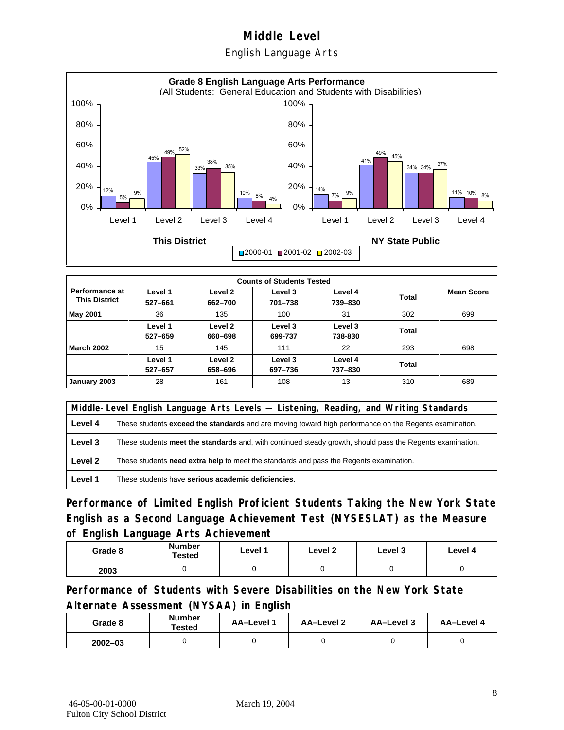English Language Arts



|                                          |                    | <b>Counts of Students Tested</b> |                    |                    |       |                   |  |  |
|------------------------------------------|--------------------|----------------------------------|--------------------|--------------------|-------|-------------------|--|--|
| Performance at I<br><b>This District</b> | Level 1<br>527-661 | Level 2<br>662-700               | Level 3<br>701-738 | Level 4<br>739-830 | Total | <b>Mean Score</b> |  |  |
| <b>May 2001</b>                          | 36                 | 135                              | 100                | 31                 | 302   | 699               |  |  |
|                                          | Level 1<br>527-659 | Level 2<br>660-698               | Level 3<br>699-737 | Level 3<br>738-830 | Total |                   |  |  |
| <b>March 2002</b>                        | 15                 | 145                              | 111                | 22                 | 293   | 698               |  |  |
|                                          | Level 1<br>527-657 | Level 2<br>658-696               | Level 3<br>697-736 | Level 4<br>737-830 | Total |                   |  |  |
| January 2003                             | 28                 | 161                              | 108                | 13                 | 310   | 689               |  |  |

|         | Middle-Level English Language Arts Levels — Listening, Reading, and Writing Standards                         |  |  |  |  |
|---------|---------------------------------------------------------------------------------------------------------------|--|--|--|--|
| Level 4 | These students <b>exceed the standards</b> and are moving toward high performance on the Regents examination. |  |  |  |  |
| Level 3 | These students meet the standards and, with continued steady growth, should pass the Regents examination.     |  |  |  |  |
| Level 2 | These students <b>need extra help</b> to meet the standards and pass the Regents examination.                 |  |  |  |  |
| Level 1 | These students have serious academic deficiencies.                                                            |  |  |  |  |

**Performance of Limited English Proficient Students Taking the New York State English as a Second Language Achievement Test (NYSESLAT) as the Measure of English Language Arts Achievement**

| Grade 8 | <b>Number</b><br>Tested | Level 1 | Level 2 | Level 3 | Level 4 |
|---------|-------------------------|---------|---------|---------|---------|
| 2003    |                         |         |         |         |         |

**Performance of Students with Severe Disabilities on the New York State Alternate Assessment (NYSAA) in English** 

| Grade 8     | Number<br>Tested | AA-Level 1 | AA-Level 2 | AA-Level 3 | AA-Level 4 |
|-------------|------------------|------------|------------|------------|------------|
| $2002 - 03$ |                  |            |            |            |            |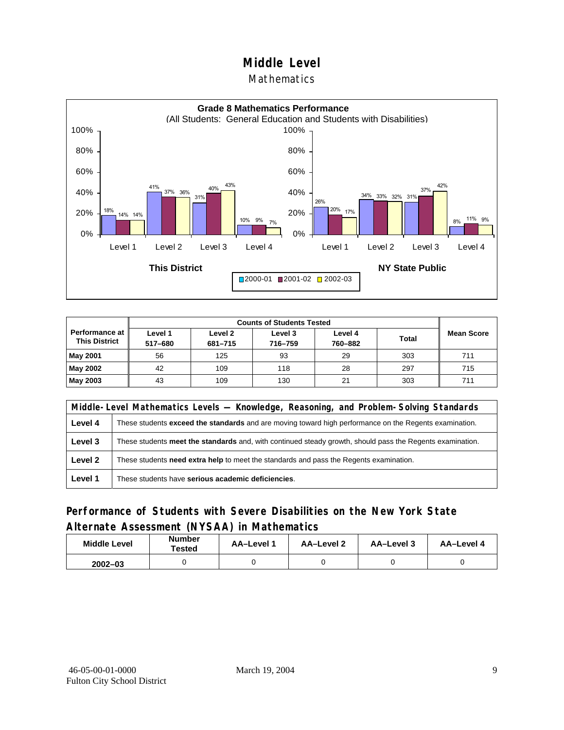#### Mathematics



| Performance at<br><b>This District</b> | Level 1<br>517-680 | Level 2<br>681-715 | Level 3<br>716-759 | Level 4<br>760-882 | <b>Total</b> | <b>Mean Score</b> |
|----------------------------------------|--------------------|--------------------|--------------------|--------------------|--------------|-------------------|
| <b>May 2001</b>                        | 56                 | 125                | 93                 | 29                 | 303          | 711               |
| May 2002                               | 42                 | 109                | 118                | 28                 | 297          | 715               |
| May 2003                               | 43                 | 109                | 130                | 21                 | 303          | 711               |

|         | Middle-Level Mathematics Levels — Knowledge, Reasoning, and Problem-Solving Standards                         |  |  |  |  |
|---------|---------------------------------------------------------------------------------------------------------------|--|--|--|--|
| Level 4 | These students <b>exceed the standards</b> and are moving toward high performance on the Regents examination. |  |  |  |  |
| Level 3 | These students meet the standards and, with continued steady growth, should pass the Regents examination.     |  |  |  |  |
| Level 2 | These students <b>need extra help</b> to meet the standards and pass the Regents examination.                 |  |  |  |  |
| Level 1 | These students have serious academic deficiencies.                                                            |  |  |  |  |

### **Performance of Students with Severe Disabilities on the New York State Alternate Assessment (NYSAA) in Mathematics**

| <b>Middle Level</b> | <b>Number</b><br>Tested | AA-Level | AA-Level 2 | AA-Level 3 | AA-Level 4 |
|---------------------|-------------------------|----------|------------|------------|------------|
| $2002 - 03$         |                         |          |            |            |            |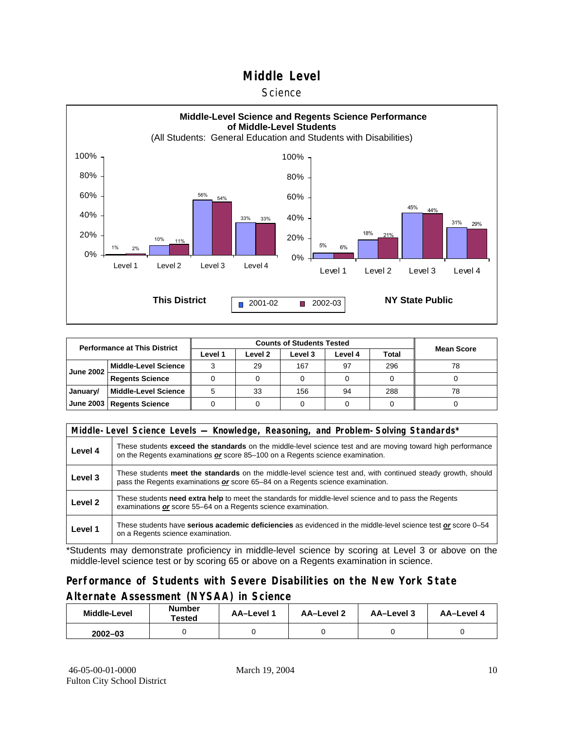#### **Science**



| <b>Performance at This District</b> |                             |         | <b>Mean Score</b> |         |         |              |    |
|-------------------------------------|-----------------------------|---------|-------------------|---------|---------|--------------|----|
|                                     |                             | Level 1 | Level 2           | Level 3 | Level 4 | <b>Total</b> |    |
| <b>June 2002</b>                    | <b>Middle-Level Science</b> |         | 29                | 167     | 97      | 296          | 78 |
|                                     | <b>Regents Science</b>      |         |                   |         |         |              |    |
| January/                            | <b>Middle-Level Science</b> |         | 33                | 156     | 94      | 288          | 78 |
|                                     | June 2003   Regents Science |         |                   |         |         |              |    |

|         | Middle-Level Science Levels - Knowledge, Reasoning, and Problem-Solving Standards*                                                                                                             |  |  |  |  |  |  |  |  |
|---------|------------------------------------------------------------------------------------------------------------------------------------------------------------------------------------------------|--|--|--|--|--|--|--|--|
| Level 4 | These students exceed the standards on the middle-level science test and are moving toward high performance<br>on the Regents examinations or score 85-100 on a Regents science examination.   |  |  |  |  |  |  |  |  |
| Level 3 | These students meet the standards on the middle-level science test and, with continued steady growth, should<br>pass the Regents examinations or score 65-84 on a Regents science examination. |  |  |  |  |  |  |  |  |
| Level 2 | These students need extra help to meet the standards for middle-level science and to pass the Regents<br>examinations or score 55–64 on a Regents science examination.                         |  |  |  |  |  |  |  |  |
| Level 1 | These students have serious academic deficiencies as evidenced in the middle-level science test or score 0–54<br>on a Regents science examination.                                             |  |  |  |  |  |  |  |  |

\*Students may demonstrate proficiency in middle-level science by scoring at Level 3 or above on the middle-level science test or by scoring 65 or above on a Regents examination in science.

## **Performance of Students with Severe Disabilities on the New York State Alternate Assessment (NYSAA) in Science**

| Middle-Level | Number<br>Tested | <b>AA-Level 1</b> | AA-Level 2 | AA-Level 3 | AA-Level 4 |  |
|--------------|------------------|-------------------|------------|------------|------------|--|
| $2002 - 03$  |                  |                   |            |            |            |  |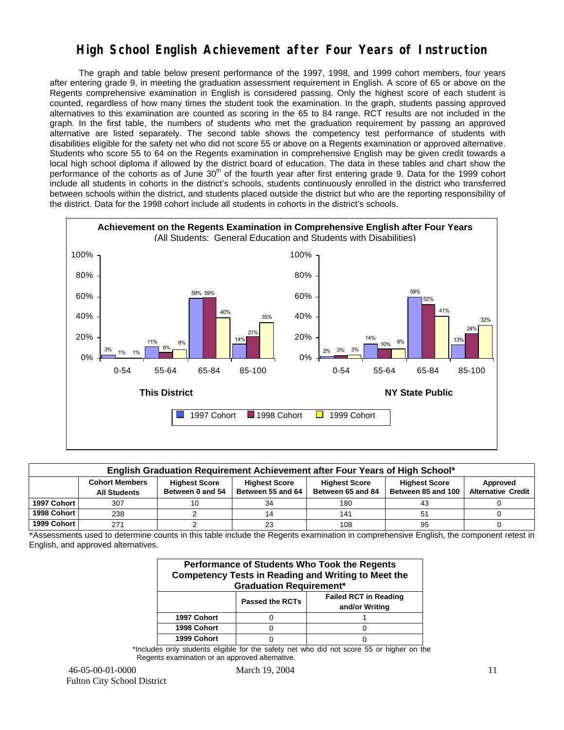## **High School English Achievement after Four Years of Instruction**

 The graph and table below present performance of the 1997, 1998, and 1999 cohort members, four years after entering grade 9, in meeting the graduation assessment requirement in English. A score of 65 or above on the Regents comprehensive examination in English is considered passing. Only the highest score of each student is counted, regardless of how many times the student took the examination. In the graph, students passing approved alternatives to this examination are counted as scoring in the 65 to 84 range. RCT results are not included in the graph. In the first table, the numbers of students who met the graduation requirement by passing an approved alternative are listed separately. The second table shows the competency test performance of students with disabilities eligible for the safety net who did not score 55 or above on a Regents examination or approved alternative. Students who score 55 to 64 on the Regents examination in comprehensive English may be given credit towards a local high school diploma if allowed by the district board of education. The data in these tables and chart show the performance of the cohorts as of June  $30<sup>th</sup>$  of the fourth year after first entering grade 9. Data for the 1999 cohort include all students in cohorts in the district's schools, students continuously enrolled in the district who transferred between schools within the district, and students placed outside the district but who are the reporting responsibility of the district. Data for the 1998 cohort include all students in cohorts in the district's schools.



| English Graduation Requirement Achievement after Four Years of High School* |                                                                                                                                                                                                                                  |    |    |     |    |  |  |  |  |  |  |  |
|-----------------------------------------------------------------------------|----------------------------------------------------------------------------------------------------------------------------------------------------------------------------------------------------------------------------------|----|----|-----|----|--|--|--|--|--|--|--|
|                                                                             | <b>Cohort Members</b><br><b>Highest Score</b><br><b>Highest Score</b><br><b>Highest Score</b><br><b>Highest Score</b><br>Between 55 and 64<br>Between 0 and 54<br>Between 65 and 84<br>Between 85 and 100<br><b>All Students</b> |    |    |     |    |  |  |  |  |  |  |  |
| 1997 Cohort                                                                 | 307                                                                                                                                                                                                                              | 10 | 34 | 180 | 43 |  |  |  |  |  |  |  |
| 1998 Cohort                                                                 | 238                                                                                                                                                                                                                              |    | 14 | 141 | 51 |  |  |  |  |  |  |  |
| 1999 Cohort                                                                 | 271                                                                                                                                                                                                                              |    | 23 | 108 | 95 |  |  |  |  |  |  |  |

\*Assessments used to determine counts in this table include the Regents examination in comprehensive English, the component retest in English, and approved alternatives.

| Performance of Students Who Took the Regents<br><b>Competency Tests in Reading and Writing to Meet the</b><br><b>Graduation Requirement*</b> |  |  |  |  |  |  |  |  |
|----------------------------------------------------------------------------------------------------------------------------------------------|--|--|--|--|--|--|--|--|
| <b>Failed RCT in Reading</b><br><b>Passed the RCTs</b><br>and/or Writing                                                                     |  |  |  |  |  |  |  |  |
| 1997 Cohort                                                                                                                                  |  |  |  |  |  |  |  |  |
| 1998 Cohort                                                                                                                                  |  |  |  |  |  |  |  |  |
| 1999 Cohort                                                                                                                                  |  |  |  |  |  |  |  |  |

\*Includes only students eligible for the safety net who did not score 55 or higher on the Regents examination or an approved alternative.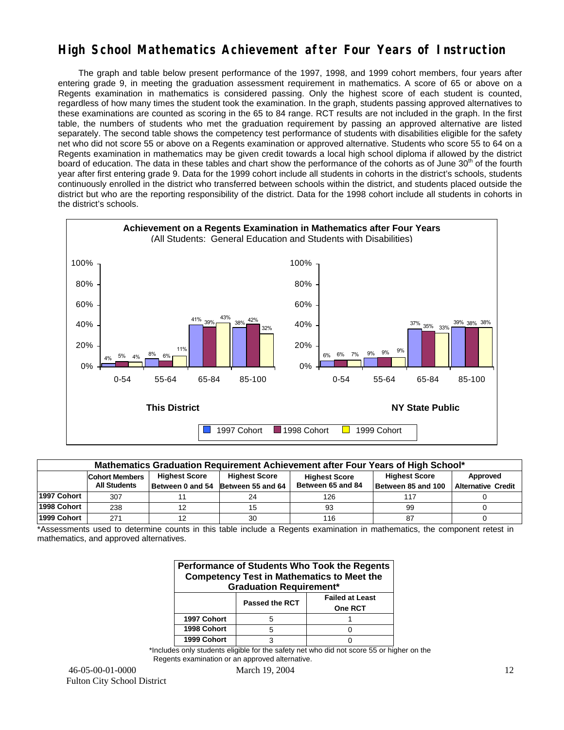## **High School Mathematics Achievement after Four Years of Instruction**

 The graph and table below present performance of the 1997, 1998, and 1999 cohort members, four years after entering grade 9, in meeting the graduation assessment requirement in mathematics. A score of 65 or above on a Regents examination in mathematics is considered passing. Only the highest score of each student is counted, regardless of how many times the student took the examination. In the graph, students passing approved alternatives to these examinations are counted as scoring in the 65 to 84 range. RCT results are not included in the graph. In the first table, the numbers of students who met the graduation requirement by passing an approved alternative are listed separately. The second table shows the competency test performance of students with disabilities eligible for the safety net who did not score 55 or above on a Regents examination or approved alternative. Students who score 55 to 64 on a Regents examination in mathematics may be given credit towards a local high school diploma if allowed by the district board of education. The data in these tables and chart show the performance of the cohorts as of June 30<sup>th</sup> of the fourth year after first entering grade 9. Data for the 1999 cohort include all students in cohorts in the district's schools, students continuously enrolled in the district who transferred between schools within the district, and students placed outside the district but who are the reporting responsibility of the district. Data for the 1998 cohort include all students in cohorts in the district's schools.



| Mathematics Graduation Requirement Achievement after Four Years of High School* |                                                                                                                                   |    |                                    |                   |                    |                           |  |  |  |  |  |
|---------------------------------------------------------------------------------|-----------------------------------------------------------------------------------------------------------------------------------|----|------------------------------------|-------------------|--------------------|---------------------------|--|--|--|--|--|
|                                                                                 | <b>Highest Score</b><br><b>Highest Score</b><br><b>Highest Score</b><br>Approved<br><b>Cohort Members</b><br><b>Highest Score</b> |    |                                    |                   |                    |                           |  |  |  |  |  |
|                                                                                 | <b>All Students</b>                                                                                                               |    | Between 0 and 54 Between 55 and 64 | Between 65 and 84 | Between 85 and 100 | <b>Alternative Credit</b> |  |  |  |  |  |
| 1997 Cohort                                                                     | 307                                                                                                                               |    | 24                                 | 126               | 117                |                           |  |  |  |  |  |
| 1998 Cohort                                                                     | 238                                                                                                                               | 12 | 15                                 | 93                | 99                 |                           |  |  |  |  |  |
| 1999 Cohort                                                                     | 271                                                                                                                               | 12 | 30                                 | 116               |                    |                           |  |  |  |  |  |

\*Assessments used to determine counts in this table include a Regents examination in mathematics, the component retest in mathematics, and approved alternatives.

| Performance of Students Who Took the Regents<br><b>Competency Test in Mathematics to Meet the</b><br><b>Graduation Requirement*</b> |   |  |  |  |  |  |  |  |
|-------------------------------------------------------------------------------------------------------------------------------------|---|--|--|--|--|--|--|--|
| <b>Failed at Least</b><br><b>Passed the RCT</b><br>One RCT                                                                          |   |  |  |  |  |  |  |  |
| 1997 Cohort                                                                                                                         |   |  |  |  |  |  |  |  |
| 1998 Cohort                                                                                                                         | 5 |  |  |  |  |  |  |  |
| 1999 Cohort                                                                                                                         |   |  |  |  |  |  |  |  |

\*Includes only students eligible for the safety net who did not score 55 or higher on the Regents examination or an approved alternative.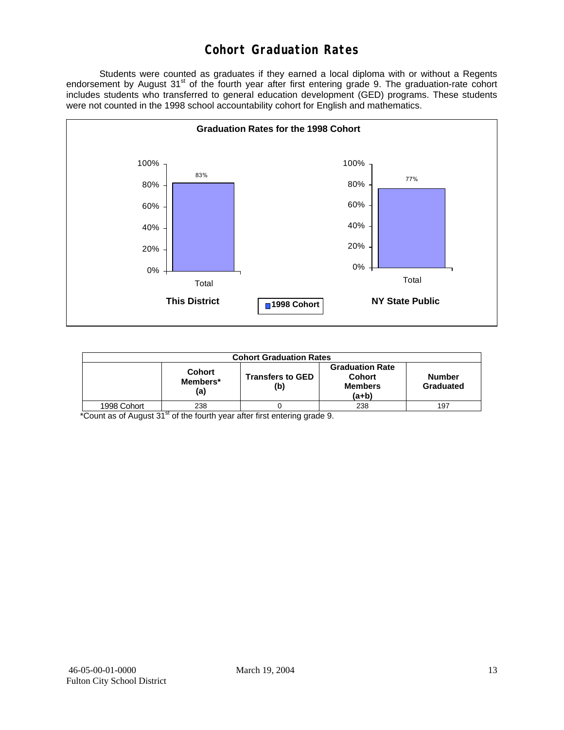## **Cohort Graduation Rates**

 Students were counted as graduates if they earned a local diploma with or without a Regents endorsement by August 31<sup>st</sup> of the fourth year after first entering grade 9. The graduation-rate cohort includes students who transferred to general education development (GED) programs. These students were not counted in the 1998 school accountability cohort for English and mathematics.



| <b>Cohort Graduation Rates</b> |                                  |                                |                                                                      |                            |  |  |  |  |  |
|--------------------------------|----------------------------------|--------------------------------|----------------------------------------------------------------------|----------------------------|--|--|--|--|--|
|                                | <b>Cohort</b><br>Members*<br>(a) | <b>Transfers to GED</b><br>(b) | <b>Graduation Rate</b><br><b>Cohort</b><br><b>Members</b><br>$(a+b)$ | <b>Number</b><br>Graduated |  |  |  |  |  |
| 1998 Cohort                    | 238                              |                                | 238                                                                  | 197                        |  |  |  |  |  |

 $*$ Count as of August 31 $<sup>st</sup>$  of the fourth year after first entering grade 9.</sup>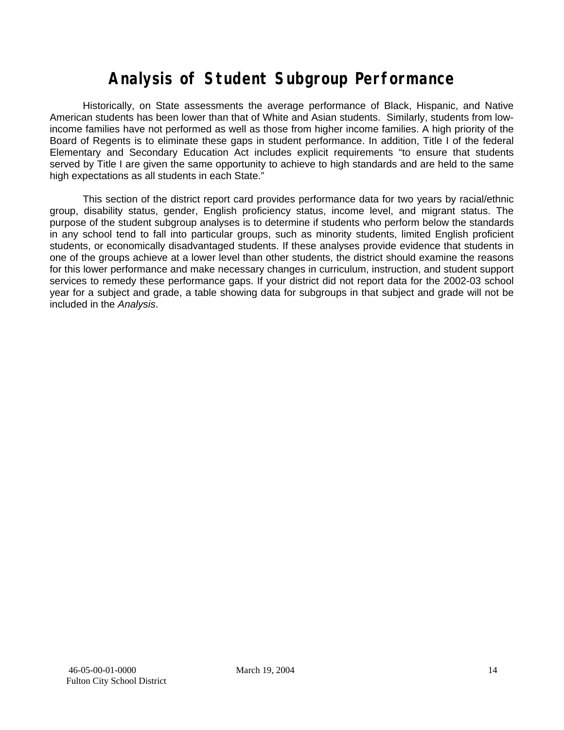# **Analysis of Student Subgroup Performance**

Historically, on State assessments the average performance of Black, Hispanic, and Native American students has been lower than that of White and Asian students. Similarly, students from lowincome families have not performed as well as those from higher income families. A high priority of the Board of Regents is to eliminate these gaps in student performance. In addition, Title I of the federal Elementary and Secondary Education Act includes explicit requirements "to ensure that students served by Title I are given the same opportunity to achieve to high standards and are held to the same high expectations as all students in each State."

This section of the district report card provides performance data for two years by racial/ethnic group, disability status, gender, English proficiency status, income level, and migrant status. The purpose of the student subgroup analyses is to determine if students who perform below the standards in any school tend to fall into particular groups, such as minority students, limited English proficient students, or economically disadvantaged students. If these analyses provide evidence that students in one of the groups achieve at a lower level than other students, the district should examine the reasons for this lower performance and make necessary changes in curriculum, instruction, and student support services to remedy these performance gaps. If your district did not report data for the 2002-03 school year for a subject and grade, a table showing data for subgroups in that subject and grade will not be included in the *Analysis*.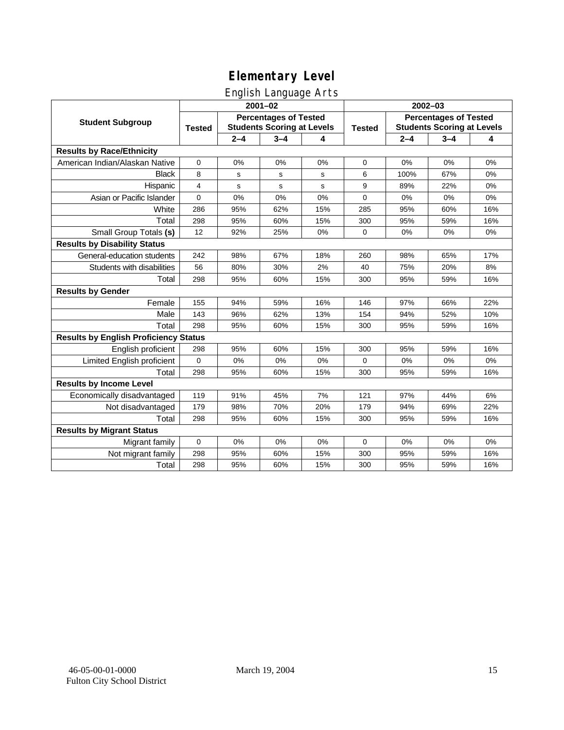## English Language Arts

|                                              | ັ<br>$2001 - 02$                                                                   |         |             |               | 2002-03                                                           |         |         |     |
|----------------------------------------------|------------------------------------------------------------------------------------|---------|-------------|---------------|-------------------------------------------------------------------|---------|---------|-----|
| <b>Student Subgroup</b>                      | <b>Percentages of Tested</b><br><b>Students Scoring at Levels</b><br><b>Tested</b> |         |             | <b>Tested</b> | <b>Percentages of Tested</b><br><b>Students Scoring at Levels</b> |         |         |     |
|                                              |                                                                                    | $2 - 4$ | $3 - 4$     | 4             |                                                                   | $2 - 4$ | $3 - 4$ | 4   |
| <b>Results by Race/Ethnicity</b>             |                                                                                    |         |             |               |                                                                   |         |         |     |
| American Indian/Alaskan Native               | 0                                                                                  | 0%      | 0%          | 0%            | 0                                                                 | 0%      | 0%      | 0%  |
| <b>Black</b>                                 | 8                                                                                  | s       | s           | s             | 6                                                                 | 100%    | 67%     | 0%  |
| Hispanic                                     | 4                                                                                  | s       | $\mathbf s$ | s             | 9                                                                 | 89%     | 22%     | 0%  |
| Asian or Pacific Islander                    | 0                                                                                  | 0%      | 0%          | 0%            | 0                                                                 | 0%      | 0%      | 0%  |
| White                                        | 286                                                                                | 95%     | 62%         | 15%           | 285                                                               | 95%     | 60%     | 16% |
| Total                                        | 298                                                                                | 95%     | 60%         | 15%           | 300                                                               | 95%     | 59%     | 16% |
| Small Group Totals (s)                       | 12                                                                                 | 92%     | 25%         | 0%            | 0                                                                 | 0%      | 0%      | 0%  |
| <b>Results by Disability Status</b>          |                                                                                    |         |             |               |                                                                   |         |         |     |
| General-education students                   | 242                                                                                | 98%     | 67%         | 18%           | 260                                                               | 98%     | 65%     | 17% |
| Students with disabilities                   | 56                                                                                 | 80%     | 30%         | 2%            | 40                                                                | 75%     | 20%     | 8%  |
| Total                                        | 298                                                                                | 95%     | 60%         | 15%           | 300                                                               | 95%     | 59%     | 16% |
| <b>Results by Gender</b>                     |                                                                                    |         |             |               |                                                                   |         |         |     |
| Female                                       | 155                                                                                | 94%     | 59%         | 16%           | 146                                                               | 97%     | 66%     | 22% |
| Male                                         | 143                                                                                | 96%     | 62%         | 13%           | 154                                                               | 94%     | 52%     | 10% |
| Total                                        | 298                                                                                | 95%     | 60%         | 15%           | 300                                                               | 95%     | 59%     | 16% |
| <b>Results by English Proficiency Status</b> |                                                                                    |         |             |               |                                                                   |         |         |     |
| English proficient                           | 298                                                                                | 95%     | 60%         | 15%           | 300                                                               | 95%     | 59%     | 16% |
| Limited English proficient                   | $\Omega$                                                                           | 0%      | 0%          | 0%            | $\Omega$                                                          | 0%      | 0%      | 0%  |
| Total                                        | 298                                                                                | 95%     | 60%         | 15%           | 300                                                               | 95%     | 59%     | 16% |
| <b>Results by Income Level</b>               |                                                                                    |         |             |               |                                                                   |         |         |     |
| Economically disadvantaged                   | 119                                                                                | 91%     | 45%         | 7%            | 121                                                               | 97%     | 44%     | 6%  |
| Not disadvantaged                            | 179                                                                                | 98%     | 70%         | 20%           | 179                                                               | 94%     | 69%     | 22% |
| Total                                        | 298                                                                                | 95%     | 60%         | 15%           | 300                                                               | 95%     | 59%     | 16% |
| <b>Results by Migrant Status</b>             |                                                                                    |         |             |               |                                                                   |         |         |     |
| Migrant family                               | $\mathbf 0$                                                                        | 0%      | 0%          | 0%            | $\mathbf 0$                                                       | 0%      | 0%      | 0%  |
| Not migrant family                           | 298                                                                                | 95%     | 60%         | 15%           | 300                                                               | 95%     | 59%     | 16% |
| Total                                        | 298                                                                                | 95%     | 60%         | 15%           | 300                                                               | 95%     | 59%     | 16% |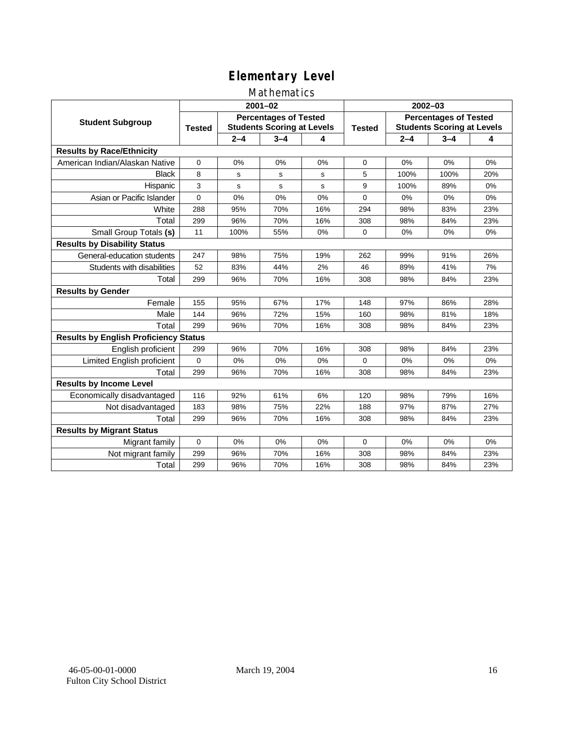### Mathematics

|                                              | $2001 - 02$                                                                        |         |             |               | $2002 - 03$                                                       |         |         |     |
|----------------------------------------------|------------------------------------------------------------------------------------|---------|-------------|---------------|-------------------------------------------------------------------|---------|---------|-----|
| <b>Student Subgroup</b>                      | <b>Percentages of Tested</b><br><b>Students Scoring at Levels</b><br><b>Tested</b> |         |             | <b>Tested</b> | <b>Percentages of Tested</b><br><b>Students Scoring at Levels</b> |         |         |     |
|                                              |                                                                                    | $2 - 4$ | $3 - 4$     | 4             |                                                                   | $2 - 4$ | $3 - 4$ | 4   |
| <b>Results by Race/Ethnicity</b>             |                                                                                    |         |             |               |                                                                   |         |         |     |
| American Indian/Alaskan Native               | $\Omega$                                                                           | 0%      | 0%          | 0%            | $\Omega$                                                          | 0%      | 0%      | 0%  |
| <b>Black</b>                                 | 8                                                                                  | s       | s           | s             | 5                                                                 | 100%    | 100%    | 20% |
| Hispanic                                     | 3                                                                                  | s       | $\mathbf s$ | s             | 9                                                                 | 100%    | 89%     | 0%  |
| Asian or Pacific Islander                    | $\mathbf 0$                                                                        | 0%      | 0%          | 0%            | 0                                                                 | 0%      | 0%      | 0%  |
| White                                        | 288                                                                                | 95%     | 70%         | 16%           | 294                                                               | 98%     | 83%     | 23% |
| Total                                        | 299                                                                                | 96%     | 70%         | 16%           | 308                                                               | 98%     | 84%     | 23% |
| Small Group Totals (s)                       | 11                                                                                 | 100%    | 55%         | 0%            | $\Omega$                                                          | 0%      | 0%      | 0%  |
| <b>Results by Disability Status</b>          |                                                                                    |         |             |               |                                                                   |         |         |     |
| General-education students                   | 247                                                                                | 98%     | 75%         | 19%           | 262                                                               | 99%     | 91%     | 26% |
| Students with disabilities                   | 52                                                                                 | 83%     | 44%         | 2%            | 46                                                                | 89%     | 41%     | 7%  |
| Total                                        | 299                                                                                | 96%     | 70%         | 16%           | 308                                                               | 98%     | 84%     | 23% |
| <b>Results by Gender</b>                     |                                                                                    |         |             |               |                                                                   |         |         |     |
| Female                                       | 155                                                                                | 95%     | 67%         | 17%           | 148                                                               | 97%     | 86%     | 28% |
| Male                                         | 144                                                                                | 96%     | 72%         | 15%           | 160                                                               | 98%     | 81%     | 18% |
| Total                                        | 299                                                                                | 96%     | 70%         | 16%           | 308                                                               | 98%     | 84%     | 23% |
| <b>Results by English Proficiency Status</b> |                                                                                    |         |             |               |                                                                   |         |         |     |
| English proficient                           | 299                                                                                | 96%     | 70%         | 16%           | 308                                                               | 98%     | 84%     | 23% |
| Limited English proficient                   | $\Omega$                                                                           | 0%      | 0%          | 0%            | $\Omega$                                                          | 0%      | 0%      | 0%  |
| Total                                        | 299                                                                                | 96%     | 70%         | 16%           | 308                                                               | 98%     | 84%     | 23% |
| <b>Results by Income Level</b>               |                                                                                    |         |             |               |                                                                   |         |         |     |
| Economically disadvantaged                   | 116                                                                                | 92%     | 61%         | 6%            | 120                                                               | 98%     | 79%     | 16% |
| Not disadvantaged                            | 183                                                                                | 98%     | 75%         | 22%           | 188                                                               | 97%     | 87%     | 27% |
| Total                                        | 299                                                                                | 96%     | 70%         | 16%           | 308                                                               | 98%     | 84%     | 23% |
| <b>Results by Migrant Status</b>             |                                                                                    |         |             |               |                                                                   |         |         |     |
| Migrant family                               | 0                                                                                  | 0%      | 0%          | 0%            | $\Omega$                                                          | 0%      | 0%      | 0%  |
| Not migrant family                           | 299                                                                                | 96%     | 70%         | 16%           | 308                                                               | 98%     | 84%     | 23% |
| Total                                        | 299                                                                                | 96%     | 70%         | 16%           | 308                                                               | 98%     | 84%     | 23% |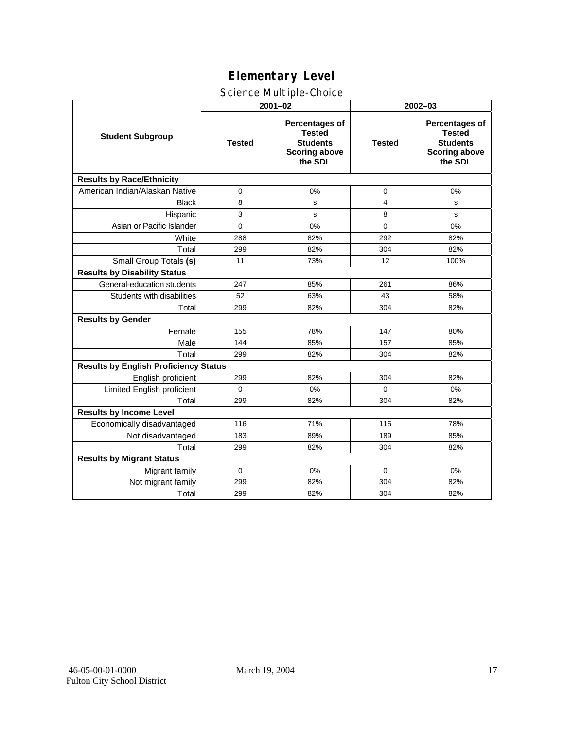### Science Multiple-Choice

|                                              | $2001 - 02$   |                                                                                              | 2002-03       |                                                                                              |  |  |
|----------------------------------------------|---------------|----------------------------------------------------------------------------------------------|---------------|----------------------------------------------------------------------------------------------|--|--|
| <b>Student Subgroup</b>                      | <b>Tested</b> | <b>Percentages of</b><br><b>Tested</b><br><b>Students</b><br><b>Scoring above</b><br>the SDL | <b>Tested</b> | <b>Percentages of</b><br><b>Tested</b><br><b>Students</b><br><b>Scoring above</b><br>the SDL |  |  |
| <b>Results by Race/Ethnicity</b>             |               |                                                                                              |               |                                                                                              |  |  |
| American Indian/Alaskan Native               | 0             | 0%                                                                                           | 0             | 0%                                                                                           |  |  |
| <b>Black</b>                                 | 8             | s                                                                                            | 4             | $\mathbf s$                                                                                  |  |  |
| Hispanic                                     | 3             | s                                                                                            | 8             | s                                                                                            |  |  |
| Asian or Pacific Islander                    | 0             | 0%                                                                                           | $\Omega$      | 0%                                                                                           |  |  |
| White                                        | 288           | 82%                                                                                          | 292           | 82%                                                                                          |  |  |
| Total                                        | 299           | 82%                                                                                          | 304           | 82%                                                                                          |  |  |
| Small Group Totals (s)                       | 11            | 73%                                                                                          | 12            | 100%                                                                                         |  |  |
| <b>Results by Disability Status</b>          |               |                                                                                              |               |                                                                                              |  |  |
| General-education students                   | 247           | 85%                                                                                          | 261           | 86%                                                                                          |  |  |
| Students with disabilities                   | 52            | 63%                                                                                          | 43            | 58%                                                                                          |  |  |
| Total                                        | 299           | 82%                                                                                          | 304           | 82%                                                                                          |  |  |
| <b>Results by Gender</b>                     |               |                                                                                              |               |                                                                                              |  |  |
| Female                                       | 155           | 78%                                                                                          | 147           | 80%                                                                                          |  |  |
| Male                                         | 144           | 85%                                                                                          | 157           | 85%                                                                                          |  |  |
| Total                                        | 299           | 82%                                                                                          | 304           | 82%                                                                                          |  |  |
| <b>Results by English Proficiency Status</b> |               |                                                                                              |               |                                                                                              |  |  |
| English proficient                           | 299           | 82%                                                                                          | 304           | 82%                                                                                          |  |  |
| Limited English proficient                   | $\Omega$      | 0%                                                                                           | $\Omega$      | 0%                                                                                           |  |  |
| Total                                        | 299           | 82%                                                                                          | 304           | 82%                                                                                          |  |  |
| <b>Results by Income Level</b>               |               |                                                                                              |               |                                                                                              |  |  |
| Economically disadvantaged                   | 116           | 71%                                                                                          | 115           | 78%                                                                                          |  |  |
| Not disadvantaged                            | 183           | 89%                                                                                          | 189           | 85%                                                                                          |  |  |
| Total                                        | 299           | 82%                                                                                          | 304           | 82%                                                                                          |  |  |
| <b>Results by Migrant Status</b>             |               |                                                                                              |               |                                                                                              |  |  |
| Migrant family                               | $\mathbf 0$   | 0%                                                                                           | $\Omega$      | 0%                                                                                           |  |  |
| Not migrant family                           | 299           | 82%                                                                                          | 304           | 82%                                                                                          |  |  |
| Total                                        | 299           | 82%                                                                                          | 304           | 82%                                                                                          |  |  |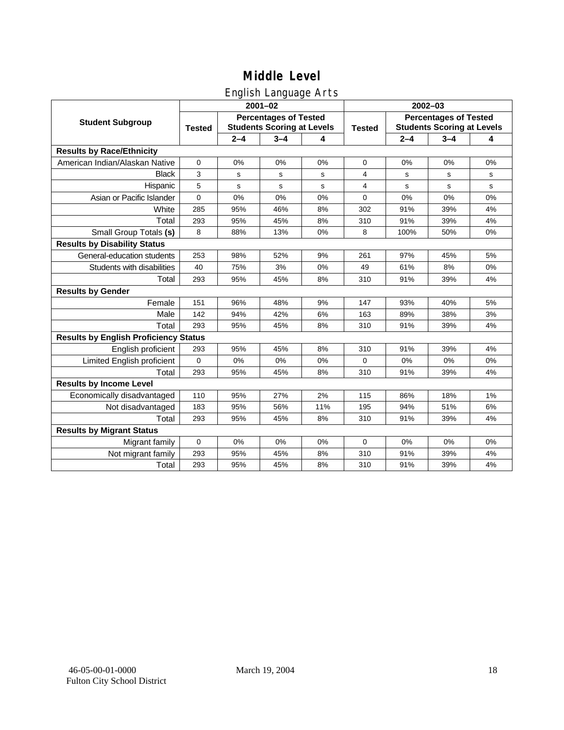## English Language Arts

|                                              | ັ<br>$2001 - 02$                                                                   |         |         |               | 2002-03                                                           |         |         |    |
|----------------------------------------------|------------------------------------------------------------------------------------|---------|---------|---------------|-------------------------------------------------------------------|---------|---------|----|
| <b>Student Subgroup</b>                      | <b>Percentages of Tested</b><br><b>Students Scoring at Levels</b><br><b>Tested</b> |         |         | <b>Tested</b> | <b>Percentages of Tested</b><br><b>Students Scoring at Levels</b> |         |         |    |
|                                              |                                                                                    | $2 - 4$ | $3 - 4$ | 4             |                                                                   | $2 - 4$ | $3 - 4$ | 4  |
| <b>Results by Race/Ethnicity</b>             |                                                                                    |         |         |               |                                                                   |         |         |    |
| American Indian/Alaskan Native               | $\mathbf 0$                                                                        | 0%      | 0%      | 0%            | 0                                                                 | 0%      | 0%      | 0% |
| <b>Black</b>                                 | 3                                                                                  | s       | s       | s             | 4                                                                 | s       | s       | s  |
| Hispanic                                     | 5                                                                                  | s       | s       | s             | 4                                                                 | s       | s       | s  |
| Asian or Pacific Islander                    | 0                                                                                  | 0%      | 0%      | 0%            | $\mathbf 0$                                                       | 0%      | 0%      | 0% |
| White                                        | 285                                                                                | 95%     | 46%     | 8%            | 302                                                               | 91%     | 39%     | 4% |
| Total                                        | 293                                                                                | 95%     | 45%     | 8%            | 310                                                               | 91%     | 39%     | 4% |
| Small Group Totals (s)                       | 8                                                                                  | 88%     | 13%     | 0%            | 8                                                                 | 100%    | 50%     | 0% |
| <b>Results by Disability Status</b>          |                                                                                    |         |         |               |                                                                   |         |         |    |
| General-education students                   | 253                                                                                | 98%     | 52%     | 9%            | 261                                                               | 97%     | 45%     | 5% |
| Students with disabilities                   | 40                                                                                 | 75%     | 3%      | 0%            | 49                                                                | 61%     | 8%      | 0% |
| Total                                        | 293                                                                                | 95%     | 45%     | 8%            | 310                                                               | 91%     | 39%     | 4% |
| <b>Results by Gender</b>                     |                                                                                    |         |         |               |                                                                   |         |         |    |
| Female                                       | 151                                                                                | 96%     | 48%     | 9%            | 147                                                               | 93%     | 40%     | 5% |
| Male                                         | 142                                                                                | 94%     | 42%     | 6%            | 163                                                               | 89%     | 38%     | 3% |
| Total                                        | 293                                                                                | 95%     | 45%     | 8%            | 310                                                               | 91%     | 39%     | 4% |
| <b>Results by English Proficiency Status</b> |                                                                                    |         |         |               |                                                                   |         |         |    |
| English proficient                           | 293                                                                                | 95%     | 45%     | 8%            | 310                                                               | 91%     | 39%     | 4% |
| Limited English proficient                   | $\mathbf 0$                                                                        | 0%      | 0%      | 0%            | $\Omega$                                                          | 0%      | 0%      | 0% |
| Total                                        | 293                                                                                | 95%     | 45%     | 8%            | 310                                                               | 91%     | 39%     | 4% |
| <b>Results by Income Level</b>               |                                                                                    |         |         |               |                                                                   |         |         |    |
| Economically disadvantaged                   | 110                                                                                | 95%     | 27%     | 2%            | 115                                                               | 86%     | 18%     | 1% |
| Not disadvantaged                            | 183                                                                                | 95%     | 56%     | 11%           | 195                                                               | 94%     | 51%     | 6% |
| Total                                        | 293                                                                                | 95%     | 45%     | 8%            | 310                                                               | 91%     | 39%     | 4% |
| <b>Results by Migrant Status</b>             |                                                                                    |         |         |               |                                                                   |         |         |    |
| Migrant family                               | $\mathbf 0$                                                                        | 0%      | 0%      | 0%            | 0                                                                 | 0%      | 0%      | 0% |
| Not migrant family                           | 293                                                                                | 95%     | 45%     | 8%            | 310                                                               | 91%     | 39%     | 4% |
| Total                                        | 293                                                                                | 95%     | 45%     | 8%            | 310                                                               | 91%     | 39%     | 4% |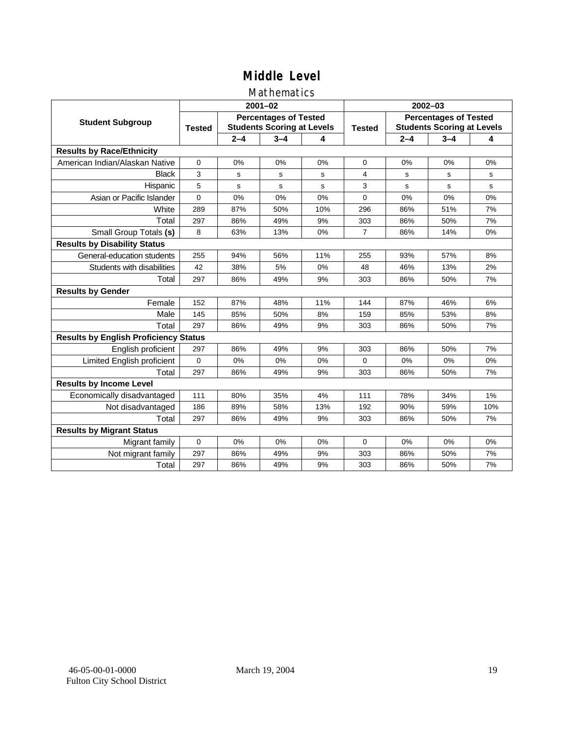### Mathematics

|                                              | $2001 - 02$                                                                        |         |         |               | $2002 - 03$                                                       |         |         |              |
|----------------------------------------------|------------------------------------------------------------------------------------|---------|---------|---------------|-------------------------------------------------------------------|---------|---------|--------------|
| <b>Student Subgroup</b>                      | <b>Percentages of Tested</b><br><b>Students Scoring at Levels</b><br><b>Tested</b> |         |         | <b>Tested</b> | <b>Percentages of Tested</b><br><b>Students Scoring at Levels</b> |         |         |              |
|                                              |                                                                                    | $2 - 4$ | $3 - 4$ | 4             |                                                                   | $2 - 4$ | $3 - 4$ | 4            |
| <b>Results by Race/Ethnicity</b>             |                                                                                    |         |         |               |                                                                   |         |         |              |
| American Indian/Alaskan Native               | $\Omega$                                                                           | 0%      | 0%      | 0%            | $\Omega$                                                          | 0%      | 0%      | 0%           |
| <b>Black</b>                                 | 3                                                                                  | s       | s       | s             | 4                                                                 | s       | s       | s            |
| Hispanic                                     | 5                                                                                  | s       | s       | s             | 3                                                                 | s       | s       | $\mathbf{s}$ |
| Asian or Pacific Islander                    | $\mathbf 0$                                                                        | 0%      | 0%      | 0%            | 0                                                                 | 0%      | 0%      | 0%           |
| White                                        | 289                                                                                | 87%     | 50%     | 10%           | 296                                                               | 86%     | 51%     | 7%           |
| Total                                        | 297                                                                                | 86%     | 49%     | 9%            | 303                                                               | 86%     | 50%     | 7%           |
| Small Group Totals (s)                       | 8                                                                                  | 63%     | 13%     | 0%            | $\overline{7}$                                                    | 86%     | 14%     | 0%           |
| <b>Results by Disability Status</b>          |                                                                                    |         |         |               |                                                                   |         |         |              |
| General-education students                   | 255                                                                                | 94%     | 56%     | 11%           | 255                                                               | 93%     | 57%     | 8%           |
| Students with disabilities                   | 42                                                                                 | 38%     | 5%      | 0%            | 48                                                                | 46%     | 13%     | 2%           |
| Total                                        | 297                                                                                | 86%     | 49%     | 9%            | 303                                                               | 86%     | 50%     | 7%           |
| <b>Results by Gender</b>                     |                                                                                    |         |         |               |                                                                   |         |         |              |
| Female                                       | 152                                                                                | 87%     | 48%     | 11%           | 144                                                               | 87%     | 46%     | 6%           |
| Male                                         | 145                                                                                | 85%     | 50%     | 8%            | 159                                                               | 85%     | 53%     | 8%           |
| Total                                        | 297                                                                                | 86%     | 49%     | 9%            | 303                                                               | 86%     | 50%     | 7%           |
| <b>Results by English Proficiency Status</b> |                                                                                    |         |         |               |                                                                   |         |         |              |
| English proficient                           | 297                                                                                | 86%     | 49%     | 9%            | 303                                                               | 86%     | 50%     | 7%           |
| Limited English proficient                   | $\Omega$                                                                           | 0%      | 0%      | 0%            | $\Omega$                                                          | 0%      | 0%      | 0%           |
| Total                                        | 297                                                                                | 86%     | 49%     | 9%            | 303                                                               | 86%     | 50%     | 7%           |
| <b>Results by Income Level</b>               |                                                                                    |         |         |               |                                                                   |         |         |              |
| Economically disadvantaged                   | 111                                                                                | 80%     | 35%     | 4%            | 111                                                               | 78%     | 34%     | 1%           |
| Not disadvantaged                            | 186                                                                                | 89%     | 58%     | 13%           | 192                                                               | 90%     | 59%     | 10%          |
| Total                                        | 297                                                                                | 86%     | 49%     | 9%            | 303                                                               | 86%     | 50%     | 7%           |
| <b>Results by Migrant Status</b>             |                                                                                    |         |         |               |                                                                   |         |         |              |
| Migrant family                               | 0                                                                                  | 0%      | 0%      | 0%            | $\Omega$                                                          | 0%      | 0%      | 0%           |
| Not migrant family                           | 297                                                                                | 86%     | 49%     | 9%            | 303                                                               | 86%     | 50%     | 7%           |
| Total                                        | 297                                                                                | 86%     | 49%     | 9%            | 303                                                               | 86%     | 50%     | 7%           |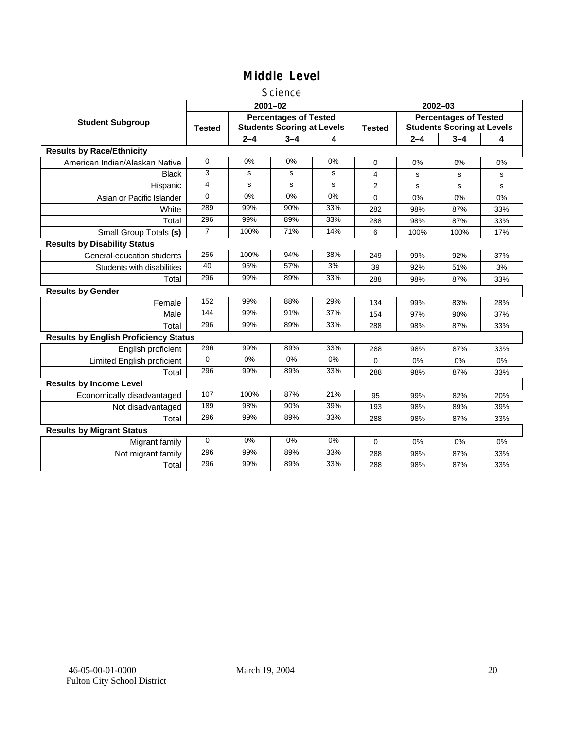#### Science

|                                              |                |             | $2001 - 02$                                                       |       | $2002 - 03$    |                                                                   |         |     |  |
|----------------------------------------------|----------------|-------------|-------------------------------------------------------------------|-------|----------------|-------------------------------------------------------------------|---------|-----|--|
| <b>Student Subgroup</b>                      | <b>Tested</b>  |             | <b>Percentages of Tested</b><br><b>Students Scoring at Levels</b> |       | <b>Tested</b>  | <b>Percentages of Tested</b><br><b>Students Scoring at Levels</b> |         |     |  |
|                                              |                | $2 - 4$     | $3 - 4$                                                           | 4     |                | $2 - 4$                                                           | $3 - 4$ | 4   |  |
| <b>Results by Race/Ethnicity</b>             |                |             |                                                                   |       |                |                                                                   |         |     |  |
| American Indian/Alaskan Native               | $\Omega$       | 0%          | 0%                                                                | 0%    | $\mathbf 0$    | 0%                                                                | 0%      | 0%  |  |
| <b>Black</b>                                 | 3              | s           | s                                                                 | s     | 4              | s                                                                 | s       | s   |  |
| Hispanic                                     | 4              | $\mathbf s$ | s                                                                 | s     | $\overline{2}$ | s                                                                 | s       | s   |  |
| Asian or Pacific Islander                    | $\Omega$       | 0%          | 0%                                                                | $0\%$ | 0              | 0%                                                                | 0%      | 0%  |  |
| White                                        | 289            | 99%         | 90%                                                               | 33%   | 282            | 98%                                                               | 87%     | 33% |  |
| Total                                        | 296            | 99%         | 89%                                                               | 33%   | 288            | 98%                                                               | 87%     | 33% |  |
| Small Group Totals (s)                       | $\overline{7}$ | 100%        | 71%                                                               | 14%   | 6              | 100%                                                              | 100%    | 17% |  |
| <b>Results by Disability Status</b>          |                |             |                                                                   |       |                |                                                                   |         |     |  |
| General-education students                   | 256            | 100%        | 94%                                                               | 38%   | 249            | 99%                                                               | 92%     | 37% |  |
| Students with disabilities                   | 40             | 95%         | 57%                                                               | 3%    | 39             | 92%                                                               | 51%     | 3%  |  |
| Total                                        | 296            | 99%         | 89%                                                               | 33%   | 288            | 98%                                                               | 87%     | 33% |  |
| <b>Results by Gender</b>                     |                |             |                                                                   |       |                |                                                                   |         |     |  |
| Female                                       | 152            | 99%         | 88%                                                               | 29%   | 134            | 99%                                                               | 83%     | 28% |  |
| Male                                         | 144            | 99%         | 91%                                                               | 37%   | 154            | 97%                                                               | 90%     | 37% |  |
| Total                                        | 296            | 99%         | 89%                                                               | 33%   | 288            | 98%                                                               | 87%     | 33% |  |
| <b>Results by English Proficiency Status</b> |                |             |                                                                   |       |                |                                                                   |         |     |  |
| English proficient                           | 296            | 99%         | 89%                                                               | 33%   | 288            | 98%                                                               | 87%     | 33% |  |
| Limited English proficient                   | $\Omega$       | 0%          | $0\%$                                                             | $0\%$ | 0              | 0%                                                                | 0%      | 0%  |  |
| Total                                        | 296            | 99%         | 89%                                                               | 33%   | 288            | 98%                                                               | 87%     | 33% |  |
| <b>Results by Income Level</b>               |                |             |                                                                   |       |                |                                                                   |         |     |  |
| Economically disadvantaged                   | 107            | 100%        | 87%                                                               | 21%   | 95             | 99%                                                               | 82%     | 20% |  |
| Not disadvantaged                            | 189            | 98%         | 90%                                                               | 39%   | 193            | 98%                                                               | 89%     | 39% |  |
| Total                                        | 296            | 99%         | 89%                                                               | 33%   | 288            | 98%                                                               | 87%     | 33% |  |
| <b>Results by Migrant Status</b>             |                |             |                                                                   |       |                |                                                                   |         |     |  |
| Migrant family                               | $\mathbf 0$    | 0%          | 0%                                                                | 0%    | 0              | 0%                                                                | 0%      | 0%  |  |
| Not migrant family                           | 296            | 99%         | 89%                                                               | 33%   | 288            | 98%                                                               | 87%     | 33% |  |
| Total                                        | 296            | 99%         | 89%                                                               | 33%   | 288            | 98%                                                               | 87%     | 33% |  |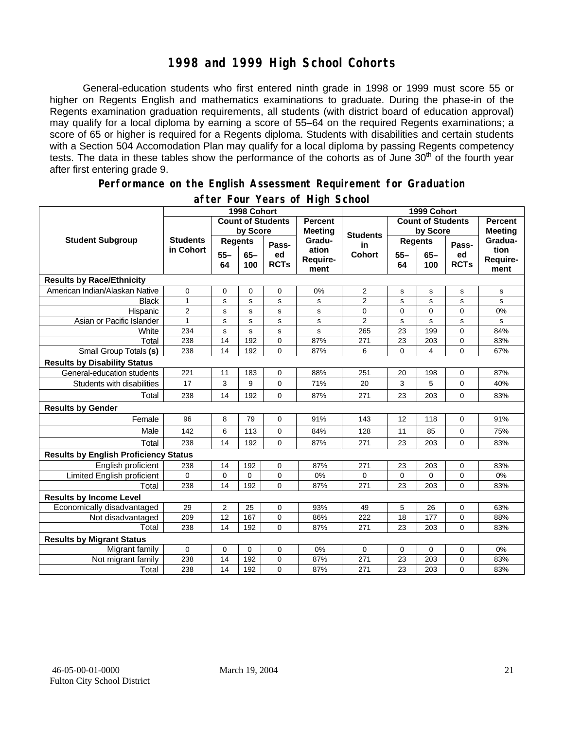## **1998 and 1999 High School Cohorts**

General-education students who first entered ninth grade in 1998 or 1999 must score 55 or higher on Regents English and mathematics examinations to graduate. During the phase-in of the Regents examination graduation requirements, all students (with district board of education approval) may qualify for a local diploma by earning a score of 55–64 on the required Regents examinations; a score of 65 or higher is required for a Regents diploma. Students with disabilities and certain students with a Section 504 Accomodation Plan may qualify for a local diploma by passing Regents competency tests. The data in these tables show the performance of the cohorts as of June 30<sup>th</sup> of the fourth year after first entering grade 9.

#### **Performance on the English Assessment Requirement for Graduation**

|                                              | 1998 Cohort                  |                          |               |                           |                           | 1999 Cohort              |                 |                                  |                   |                          |
|----------------------------------------------|------------------------------|--------------------------|---------------|---------------------------|---------------------------|--------------------------|-----------------|----------------------------------|-------------------|--------------------------|
|                                              |                              | <b>Count of Students</b> |               | <b>Percent</b><br>Meeting |                           | <b>Count of Students</b> |                 | <b>Percent</b><br><b>Meeting</b> |                   |                          |
| <b>Student Subgroup</b>                      | <b>Students</b><br>in Cohort | by Score                 |               |                           | <b>Students</b>           | by Score                 |                 |                                  |                   |                          |
|                                              |                              | <b>Regents</b>           |               | Pass-                     | Gradu-                    | in                       | <b>Regents</b>  |                                  | Pass-             | Gradua-                  |
|                                              |                              | $55 -$<br>64             | $65 -$<br>100 | ed<br><b>RCTs</b>         | ation<br>Require-<br>ment | <b>Cohort</b>            | $55 -$<br>64    | $65 -$<br>100                    | ed<br><b>RCTs</b> | tion<br>Require-<br>ment |
| <b>Results by Race/Ethnicity</b>             |                              |                          |               |                           |                           |                          |                 |                                  |                   |                          |
| American Indian/Alaskan Native               | $\mathbf 0$                  | 0                        | 0             | $\mathbf 0$               | 0%                        | $\overline{2}$           | $\mathbf s$     | s                                | s                 | s                        |
| <b>Black</b>                                 | $\mathbf{1}$                 | s                        | s             | s                         | s                         | $\overline{2}$           | s               | s                                | s                 | s                        |
| Hispanic                                     | 2                            | s                        | s             | s                         | s                         | 0                        | 0               | 0                                | 0                 | 0%                       |
| Asian or Pacific Islander                    | $\mathbf{1}$                 | s                        | s             | s                         | s                         | $\overline{2}$           | s               | s                                | s                 | s                        |
| White                                        | 234                          | s                        | $\mathbf s$   | s                         | s                         | 265                      | $\overline{23}$ | 199                              | $\mathbf 0$       | 84%                      |
| Total                                        | 238                          | 14                       | 192           | $\Omega$                  | 87%                       | 271                      | 23              | 203                              | $\mathbf 0$       | 83%                      |
| Small Group Totals (s)                       | 238                          | 14                       | 192           | $\Omega$                  | 87%                       | 6                        | 0               | 4                                | $\Omega$          | 67%                      |
| <b>Results by Disability Status</b>          |                              |                          |               |                           |                           |                          |                 |                                  |                   |                          |
| General-education students                   | 221                          | 11                       | 183           | 0                         | 88%                       | 251                      | 20              | 198                              | 0                 | 87%                      |
| Students with disabilities                   | 17                           | 3                        | 9             | 0                         | 71%                       | 20                       | 3               | 5                                | 0                 | 40%                      |
| Total                                        | 238                          | 14                       | 192           | $\mathbf 0$               | 87%                       | 271                      | 23              | 203                              | 0                 | 83%                      |
| <b>Results by Gender</b>                     |                              |                          |               |                           |                           |                          |                 |                                  |                   |                          |
| Female                                       | 96                           | 8                        | 79            | $\Omega$                  | 91%                       | 143                      | 12              | 118                              | $\Omega$          | 91%                      |
| Male                                         | 142                          | 6                        | 113           | 0                         | 84%                       | 128                      | 11              | 85                               | $\mathbf 0$       | 75%                      |
| Total                                        | 238                          | 14                       | 192           | $\mathbf 0$               | 87%                       | 271                      | 23              | 203                              | 0                 | 83%                      |
| <b>Results by English Proficiency Status</b> |                              |                          |               |                           |                           |                          |                 |                                  |                   |                          |
| English proficient                           | 238                          | 14                       | 192           | $\mathbf 0$               | 87%                       | 271                      | 23              | 203                              | $\mathbf 0$       | 83%                      |
| Limited English proficient                   | 0                            | 0                        | 0             | 0                         | 0%                        | 0                        | $\mathbf 0$     | 0                                | 0                 | 0%                       |
| Total                                        | 238                          | 14                       | 192           | $\Omega$                  | 87%                       | 271                      | 23              | 203                              | 0                 | 83%                      |
| <b>Results by Income Level</b>               |                              |                          |               |                           |                           |                          |                 |                                  |                   |                          |
| Economically disadvantaged                   | 29                           | 2                        | 25            | 0                         | 93%                       | 49                       | 5               | 26                               | 0                 | 63%                      |
| Not disadvantaged                            | 209                          | 12                       | 167           | $\mathbf 0$               | 86%                       | 222                      | 18              | 177                              | 0                 | 88%                      |
| Total                                        | 238                          | 14                       | 192           | $\Omega$                  | 87%                       | 271                      | 23              | 203                              | $\Omega$          | 83%                      |
| <b>Results by Migrant Status</b>             |                              |                          |               |                           |                           |                          |                 |                                  |                   |                          |
| Migrant family                               | $\mathbf 0$                  | 0                        | 0             | $\mathbf 0$               | 0%                        | 0                        | 0               | 0                                | $\mathbf 0$       | 0%                       |
| Not migrant family                           | 238                          | 14                       | 192           | $\mathbf 0$               | 87%                       | 271                      | 23              | 203                              | $\mathbf 0$       | 83%                      |
| Total                                        | 238                          | 14                       | 192           | $\mathbf 0$               | 87%                       | 271                      | 23              | 203                              | 0                 | 83%                      |

#### **after Four Years of High School**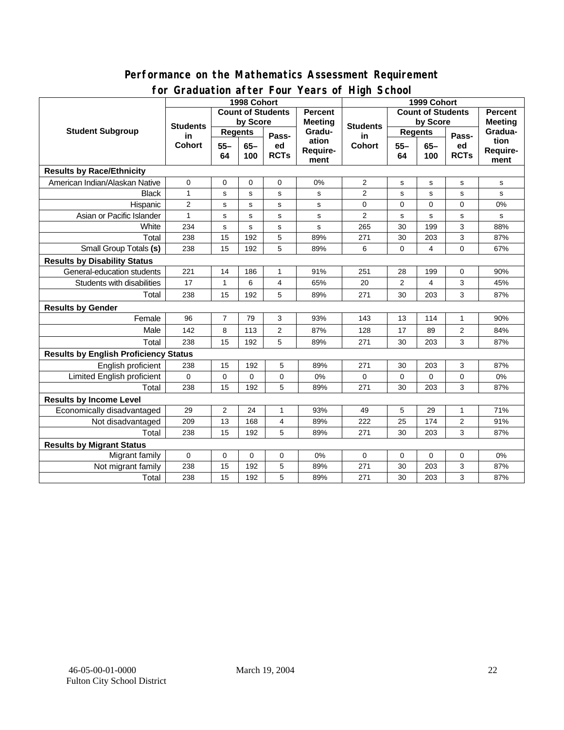#### **Performance on the Mathematics Assessment Requirement for Graduation after Four Years of High School**

|                                              | 91 GUUCHUN GILOI 1 VUI   | 1998 Cohort    |               | <b>Produced in the senson</b><br>1999 Cohort |                           |                 |                          |               |                   |                          |
|----------------------------------------------|--------------------------|----------------|---------------|----------------------------------------------|---------------------------|-----------------|--------------------------|---------------|-------------------|--------------------------|
|                                              | <b>Count of Students</b> |                |               | <b>Percent</b>                               |                           |                 | <b>Count of Students</b> |               |                   | <b>Percent</b>           |
|                                              | <b>Students</b>          | by Score       |               |                                              | <b>Meeting</b>            | <b>Students</b> | by Score                 |               | <b>Meeting</b>    |                          |
| <b>Student Subgroup</b>                      | in<br><b>Cohort</b>      | <b>Regents</b> |               | Pass-                                        | Gradu-                    | in              | <b>Regents</b>           |               | Pass-             | Gradua-                  |
|                                              |                          | $55 -$<br>64   | $65 -$<br>100 | ed<br><b>RCTs</b>                            | ation<br>Require-<br>ment | <b>Cohort</b>   | $55 -$<br>64             | $65 -$<br>100 | ed<br><b>RCTs</b> | tion<br>Require-<br>ment |
| <b>Results by Race/Ethnicity</b>             |                          |                |               |                                              |                           |                 |                          |               |                   |                          |
| American Indian/Alaskan Native               | 0                        | $\mathbf 0$    | $\mathbf 0$   | $\mathbf 0$                                  | 0%                        | $\overline{2}$  | s                        | s             | $\mathbf s$       | s                        |
| <b>Black</b>                                 | $\mathbf{1}$             | s              | s             | s                                            | s                         | $\overline{2}$  | $\mathbf s$              | $\mathbf s$   | s                 | $\mathbf s$              |
| Hispanic                                     | $\overline{2}$           | s              | s             | s                                            | s                         | 0               | 0                        | $\mathbf 0$   | 0                 | 0%                       |
| Asian or Pacific Islander                    | $\mathbf{1}$             | s              | s             | s                                            | s                         | $\overline{2}$  | $\mathbf s$              | $\mathbf s$   | s                 | s                        |
| White                                        | 234                      | s              | s             | s                                            | s                         | 265             | 30                       | 199           | 3                 | 88%                      |
| Total                                        | 238                      | 15             | 192           | 5                                            | 89%                       | 271             | 30                       | 203           | 3                 | 87%                      |
| Small Group Totals (s)                       | 238                      | 15             | 192           | 5                                            | 89%                       | 6               | $\mathbf 0$              | 4             | $\Omega$          | 67%                      |
| <b>Results by Disability Status</b>          |                          |                |               |                                              |                           |                 |                          |               |                   |                          |
| General-education students                   | 221                      | 14             | 186           | 1                                            | 91%                       | 251             | 28                       | 199           | 0                 | 90%                      |
| Students with disabilities                   | 17                       | 1              | 6             | 4                                            | 65%                       | 20              | $\overline{2}$           | 4             | 3                 | 45%                      |
| Total                                        | 238                      | 15             | 192           | 5                                            | 89%                       | 271             | 30                       | 203           | 3                 | 87%                      |
| <b>Results by Gender</b>                     |                          |                |               |                                              |                           |                 |                          |               |                   |                          |
| Female                                       | 96                       | $\overline{7}$ | 79            | 3                                            | 93%                       | 143             | 13                       | 114           | 1                 | 90%                      |
| Male                                         | 142                      | 8              | 113           | $\overline{2}$                               | 87%                       | 128             | 17                       | 89            | $\overline{2}$    | 84%                      |
| Total                                        | 238                      | 15             | 192           | 5                                            | 89%                       | 271             | 30                       | 203           | 3                 | 87%                      |
| <b>Results by English Proficiency Status</b> |                          |                |               |                                              |                           |                 |                          |               |                   |                          |
| English proficient                           | 238                      | 15             | 192           | 5                                            | 89%                       | 271             | 30                       | 203           | 3                 | 87%                      |
| Limited English proficient                   | 0                        | 0              | $\mathbf 0$   | 0                                            | 0%                        | 0               | 0                        | 0             | 0                 | 0%                       |
| Total                                        | 238                      | 15             | 192           | 5                                            | 89%                       | 271             | 30                       | 203           | 3                 | 87%                      |
| <b>Results by Income Level</b>               |                          |                |               |                                              |                           |                 |                          |               |                   |                          |
| Economically disadvantaged                   | 29                       | 2              | 24            | $\mathbf{1}$                                 | 93%                       | 49              | 5                        | 29            | $\mathbf{1}$      | 71%                      |
| Not disadvantaged                            | 209                      | 13             | 168           | 4                                            | 89%                       | 222             | 25                       | 174           | $\overline{2}$    | 91%                      |
| Total                                        | 238                      | 15             | 192           | 5                                            | 89%                       | 271             | 30                       | 203           | 3                 | 87%                      |
| <b>Results by Migrant Status</b>             |                          |                |               |                                              |                           |                 |                          |               |                   |                          |
| Migrant family                               | $\mathbf 0$              | $\mathbf 0$    | $\mathbf 0$   | 0                                            | 0%                        | $\mathbf 0$     | 0                        | $\mathbf 0$   | 0                 | 0%                       |
| Not migrant family                           | 238                      | 15             | 192           | 5                                            | 89%                       | 271             | 30                       | 203           | 3                 | 87%                      |
| Total                                        | 238                      | 15             | 192           | 5                                            | 89%                       | 271             | 30                       | 203           | 3                 | 87%                      |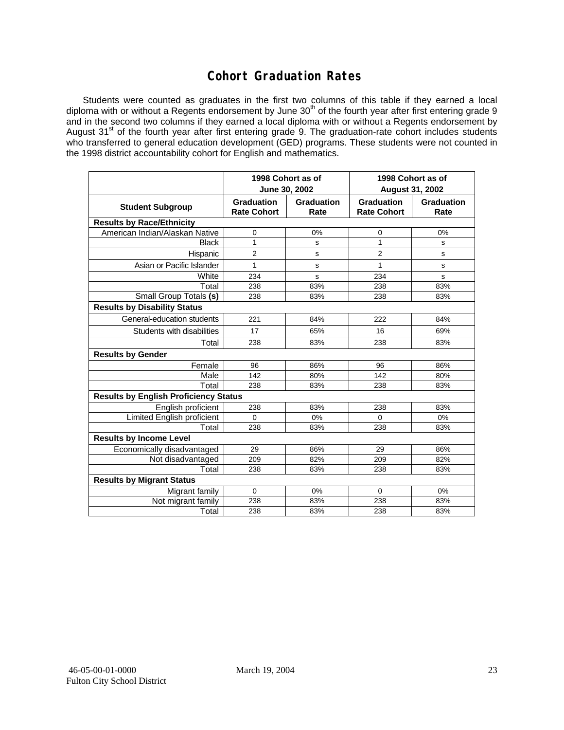## **Cohort Graduation Rates**

Students were counted as graduates in the first two columns of this table if they earned a local diploma with or without a Regents endorsement by June 30<sup>th</sup> of the fourth year after first entering grade 9 and in the second two columns if they earned a local diploma with or without a Regents endorsement by August 31<sup>st</sup> of the fourth year after first entering grade 9. The graduation-rate cohort includes students who transferred to general education development (GED) programs. These students were not counted in the 1998 district accountability cohort for English and mathematics.

|                                              |                                  | 1998 Cohort as of<br>June 30, 2002 | 1998 Cohort as of<br><b>August 31, 2002</b> |                    |  |  |  |  |
|----------------------------------------------|----------------------------------|------------------------------------|---------------------------------------------|--------------------|--|--|--|--|
| <b>Student Subgroup</b>                      | Graduation<br><b>Rate Cohort</b> | Graduation<br>Rate                 | <b>Graduation</b><br><b>Rate Cohort</b>     | Graduation<br>Rate |  |  |  |  |
| <b>Results by Race/Ethnicity</b>             |                                  |                                    |                                             |                    |  |  |  |  |
| American Indian/Alaskan Native               | 0                                | 0%                                 | 0                                           | 0%                 |  |  |  |  |
| <b>Black</b>                                 | $\mathbf{1}$                     | s                                  | 1                                           | s                  |  |  |  |  |
| Hispanic                                     | $\overline{2}$                   | s                                  | $\overline{2}$                              | s                  |  |  |  |  |
| Asian or Pacific Islander                    | 1                                | s                                  | 1                                           | s                  |  |  |  |  |
| White                                        | 234                              | s                                  | 234                                         | s                  |  |  |  |  |
| Total                                        | 238                              | 83%                                | 238                                         | 83%                |  |  |  |  |
| Small Group Totals (s)                       | 238                              | 83%                                | 238                                         | 83%                |  |  |  |  |
| <b>Results by Disability Status</b>          |                                  |                                    |                                             |                    |  |  |  |  |
| General-education students                   | 221                              | 84%                                | 222                                         | 84%                |  |  |  |  |
| Students with disabilities                   | 17                               | 65%                                | 16                                          | 69%                |  |  |  |  |
| Total                                        | 238                              | 83%                                | 238                                         | 83%                |  |  |  |  |
| <b>Results by Gender</b>                     |                                  |                                    |                                             |                    |  |  |  |  |
| Female                                       | 96                               | 86%                                | 96                                          | 86%                |  |  |  |  |
| Male                                         | 142                              | 80%                                | 142                                         | 80%                |  |  |  |  |
| Total                                        | 238                              | 83%                                | 238                                         | 83%                |  |  |  |  |
| <b>Results by English Proficiency Status</b> |                                  |                                    |                                             |                    |  |  |  |  |
| English proficient                           | 238                              | 83%                                | 238                                         | 83%                |  |  |  |  |
| Limited English proficient                   | $\mathbf 0$                      | 0%                                 | $\mathbf 0$                                 | 0%                 |  |  |  |  |
| Total                                        | 238                              | 83%                                | 238                                         | 83%                |  |  |  |  |
| <b>Results by Income Level</b>               |                                  |                                    |                                             |                    |  |  |  |  |
| Economically disadvantaged                   | 29                               | 86%                                | 29                                          | 86%                |  |  |  |  |
| Not disadvantaged                            | 209                              | 82%                                | 209                                         | 82%                |  |  |  |  |
| Total                                        | 238                              | 83%                                | 238                                         | 83%                |  |  |  |  |
| <b>Results by Migrant Status</b>             |                                  |                                    |                                             |                    |  |  |  |  |
| Migrant family                               | $\mathbf 0$                      | 0%                                 | $\Omega$                                    | 0%                 |  |  |  |  |
| Not migrant family                           | 238                              | 83%                                | 238                                         | 83%                |  |  |  |  |
| Total                                        | 238                              | 83%                                | 238                                         | 83%                |  |  |  |  |